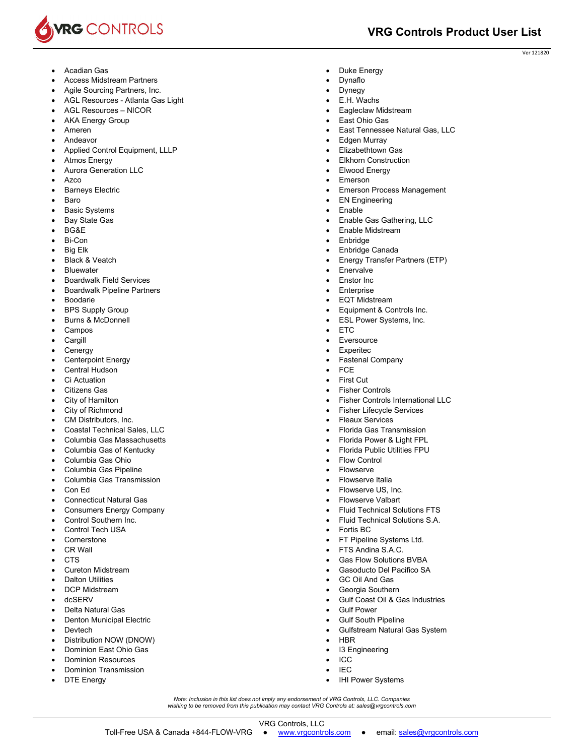

Ver 121820

- Acadian Gas
- Access Midstream Partners
- Agile Sourcing Partners, Inc.
- AGL Resources Atlanta Gas Light
- AGL Resources NICOR
- AKA Energy Group
- Ameren
- Andeavor
- Applied Control Equipment, LLLP
- Atmos Energy
- Aurora Generation LLC
- Azco
- Barneys Electric
- Baro
- Basic Systems
- Bay State Gas
- BG&E
- Bi-Con
- Big Elk
- Black & Veatch
- **Bluewater**
- Boardwalk Field Services
- Boardwalk Pipeline Partners
- Boodarie
- BPS Supply Group
- Burns & McDonnell
- Campos
- Cargill
- Cenergy
- Centerpoint Energy
- Central Hudson
- Ci Actuation
- Citizens Gas
- City of Hamilton
- City of Richmond
- CM Distributors, Inc.
- Coastal Technical Sales, LLC
- Columbia Gas Massachusetts
- Columbia Gas of Kentucky
- Columbia Gas Ohio
- Columbia Gas Pipeline
- Columbia Gas Transmission
- Con Ed
- Connecticut Natural Gas
- Consumers Energy Company
- Control Southern Inc.
- Control Tech USA
- **Cornerstone**
- CR Wall
- C<sub>TS</sub>
- Cureton Midstream
- Dalton Utilities
- DCP Midstream
- dcSERV
- Delta Natural Gas
- Denton Municipal Electric
- Devtech
- Distribution NOW (DNOW)
- Dominion East Ohio Gas
- Dominion Resources
- Dominion Transmission
- DTE Energy
- Duke Energy
- Dynaflo
- Dynegy
- E.H. Wachs Eagleclaw Midstream
- East Ohio Gas
- 
- East Tennessee Natural Gas, LLC
- Edgen Murray
- Elizabethtown Gas
- Elkhorn Construction
- Elwood Energy
- Emerson
- Emerson Process Management
- EN Engineering
- Enable
- Enable Gas Gathering, LLC
- Enable Midstream
- Enbridge
- Enbridge Canada
- Energy Transfer Partners (ETP)
- **Enervalve**
- Enstor Inc
- Enterprise
- EQT Midstream
- Equipment & Controls Inc.
- ESL Power Systems, Inc.
- **ETC**
- **Eversource**
- Experitec
- Fastenal Company
- **FCE**

*Note: Inclusion in this list does not imply any endorsement of VRG Controls, LLC. Companies wishing to be removed from this publication may contact VRG Controls at: sales@vrgcontrols.com* 

VRG Controls, LLC Toll-Free USA & Canada +844-FLOW-VRG ● www.vrgcontrols.com ● email: sales@vrgcontrols.com

- First Cut
- Fisher Controls

 Flow Control Flowserve Flowserve Italia Flowserve US, Inc. Flowserve Valbart

Fortis BC

 GC Oil And Gas Georgia Southern

 Gulf Power Gulf South Pipeline

I3 Engineering

• IHI Power Systems

HBR

 ICC IEC

Fisher Controls International LLC

 Florida Gas Transmission Florida Power & Light FPL Florida Public Utilities FPU

 Fluid Technical Solutions FTS Fluid Technical Solutions S.A.

Gulf Coast Oil & Gas Industries

Gulfstream Natural Gas System

 FT Pipeline Systems Ltd. FTS Andina S.A.C. Gas Flow Solutions BVBA Gasoducto Del Pacifico SA

 Fisher Lifecycle Services Fleaux Services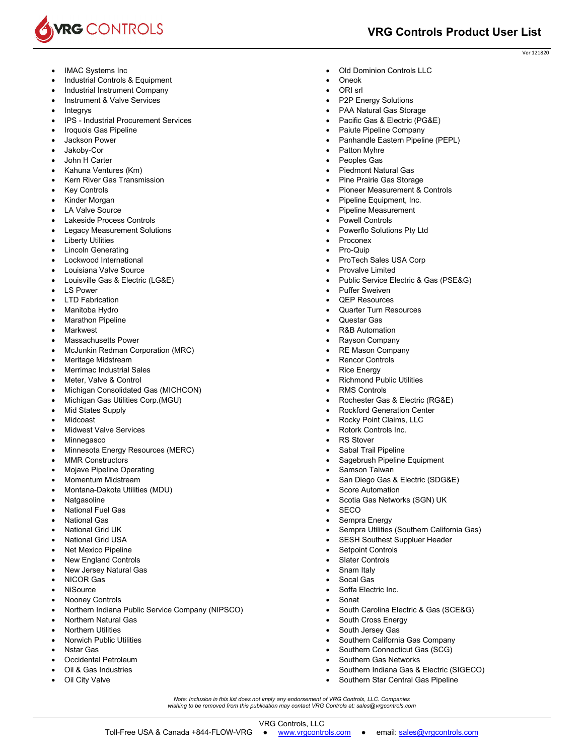

- IMAC Systems Inc
- Industrial Controls & Equipment
- Industrial Instrument Company
- Instrument & Valve Services
- Integrys
- IPS Industrial Procurement Services
- Iroquois Gas Pipeline
- Jackson Power
- Jakoby-Cor
- John H Carter
- Kahuna Ventures (Km)
- Kern River Gas Transmission
- Key Controls
- Kinder Morgan
- LA Valve Source
- Lakeside Process Controls
- Legacy Measurement Solutions
- Liberty Utilities
- Lincoln Generating
- Lockwood International
- Louisiana Valve Source
- Louisville Gas & Electric (LG&E)
- LS Power
- LTD Fabrication
- Manitoba Hydro
- Marathon Pipeline
- Markwest
- Massachusetts Power
- McJunkin Redman Corporation (MRC)
- Meritage Midstream
- Merrimac Industrial Sales
- Meter, Valve & Control
- Michigan Consolidated Gas (MICHCON)
- Michigan Gas Utilities Corp.(MGU)
- Mid States Supply
- Midcoast
- Midwest Valve Services
- Minnegasco
- Minnesota Energy Resources (MERC)
- MMR Constructors
- Mojave Pipeline Operating
- Momentum Midstream
- Montana-Dakota Utilities (MDU)
- Natgasoline
- National Fuel Gas
- National Gas
- National Grid UK
- National Grid USA
- Net Mexico Pipeline
- New England Controls
- New Jersey Natural Gas
- NICOR Gas
- **NiSource**
- Nooney Controls
- Northern Indiana Public Service Company (NIPSCO)
- Northern Natural Gas
- Northern Utilities
- Norwich Public Utilities
- Nstar Gas
- Occidental Petroleum
- Oil & Gas Industries
- Oil City Valve
- Old Dominion Controls LLC
- Oneok
- ORI srl
- P2P Energy Solutions
- PAA Natural Gas Storage
- Pacific Gas & Electric (PG&E)
- Paiute Pipeline Company
- Panhandle Eastern Pipeline (PEPL)
- Patton Myhre
- Peoples Gas
- Piedmont Natural Gas
- Pine Prairie Gas Storage
- Pioneer Measurement & Controls
- Pipeline Equipment, Inc.
- Pipeline Measurement
- Powell Controls
- Powerflo Solutions Pty Ltd
- Proconex
- Pro-Quip
- ProTech Sales USA Corp
- Provalve Limited
- Public Service Electric & Gas (PSE&G)
- Puffer Sweiven
- QEP Resources
- Quarter Turn Resources
- Questar Gas
- R&B Automation
- Rayson Company
- RE Mason Company
- Rencor Controls
- Rice Energy
- Richmond Public Utilities
- RMS Controls

*Note: Inclusion in this list does not imply any endorsement of VRG Controls, LLC. Companies wishing to be removed from this publication may contact VRG Controls at: sales@vrgcontrols.com* 

VRG Controls, LLC Toll-Free USA & Canada +844-FLOW-VRG ● www.vrgcontrols.com ● email: sales@vrgcontrols.com

Rochester Gas & Electric (RG&E)

Sagebrush Pipeline Equipment

Scotia Gas Networks (SGN) UK

San Diego Gas & Electric (SDG&E)

 Sempra Utilities (Southern California Gas) SESH Southest Suppluer Header

South Carolina Electric & Gas (SCE&G)

Southern Indiana Gas & Electric (SIGECO)

 Southern California Gas Company Southern Connecticut Gas (SCG)

• Southern Star Central Gas Pipeline

 Rockford Generation Center Rocky Point Claims, LLC

> Rotork Controls Inc. RS Stover Sabal Trail Pipeline

Samson Taiwan

Score Automation

 Setpoint Controls Slater Controls Snam Italy Socal Gas Soffa Electric Inc.

 South Cross Energy South Jersey Gas

Southern Gas Networks

**SECO** Sempra Energy

Sonat